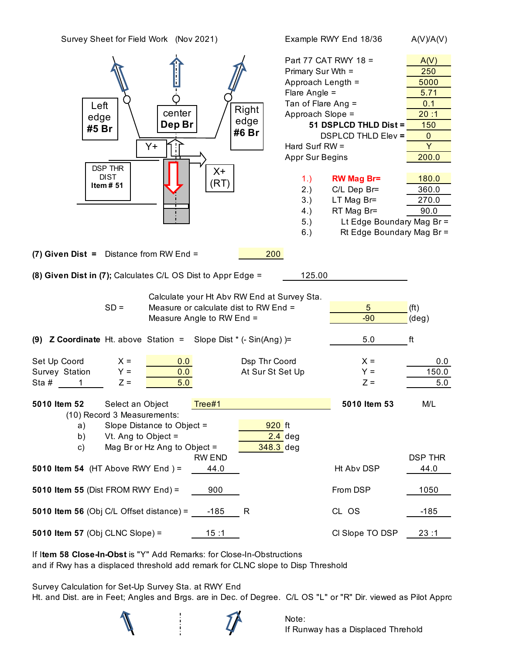| Survey Sheet for Field Work (Nov 2021)                                                                      |                    | Example RWY End 18/36     | A(V)/A(V)                           |
|-------------------------------------------------------------------------------------------------------------|--------------------|---------------------------|-------------------------------------|
|                                                                                                             |                    | Part 77 CAT RWY 18 =      | A(V)                                |
|                                                                                                             | Primary Sur Wth =  |                           | 250                                 |
|                                                                                                             | Approach Length =  |                           | 5000                                |
|                                                                                                             | Flare Angle $=$    |                           | 5.71                                |
| Left                                                                                                        | Tan of Flare Ang = |                           | 0.1                                 |
| Right<br>center                                                                                             | Approach Slope =   |                           | 20:1                                |
| edge<br>edge<br>Dep Br                                                                                      |                    | 51 DSPLCD THLD Dist =     | 150                                 |
| #5 Br<br>#6 Br                                                                                              |                    | <b>DSPLCD THLD Elev =</b> | $\mathbf{0}$                        |
| Y+                                                                                                          | Hard Surf RW =     |                           | Y                                   |
|                                                                                                             | Appr Sur Begins    |                           | 200.0                               |
| <b>DSP THR</b>                                                                                              |                    |                           |                                     |
| $X+$<br><b>DIST</b>                                                                                         | 1.)                | <b>RW Mag Br=</b>         | 180.0                               |
| (RT)<br>Item $# 51$                                                                                         | 2.)                | C/L Dep Br=               | 360.0                               |
|                                                                                                             | 3.)                | LT Mag Br=                | 270.0                               |
|                                                                                                             | 4.)                | RT Mag Br=                | 90.0                                |
|                                                                                                             | 5.)                | Lt Edge Boundary Mag Br = |                                     |
|                                                                                                             | 6.)                | Rt Edge Boundary Mag Br = |                                     |
|                                                                                                             |                    |                           |                                     |
| (8) Given Dist in (7); Calculates C/L OS Dist to Appr Edge =<br>Calculate your Ht Abv RW End at Survey Sta. | 125.00             |                           |                                     |
| $SD =$<br>Measure or calculate dist to RW End =                                                             |                    | $5\phantom{.0}$           |                                     |
| Measure Angle to RW End =                                                                                   |                    | $-90$                     | (f <sup>t</sup> )<br>$(\text{deg})$ |
|                                                                                                             |                    |                           |                                     |
| (9) <b>Z Coordinate</b> Ht. above Station = Slope Dist $*$ (- Sin(Ang) )=                                   |                    | 5.0                       | ft                                  |
| Set Up Coord<br>Dsp Thr Coord<br>$X =$<br>0.0                                                               |                    | $X =$                     | 0.0                                 |
| Survey Station<br>At Sur St Set Up<br>$Y =$<br>0.0                                                          |                    | $Y =$                     | 150.0                               |
| $Z =$<br>5.0<br>Sta #<br>1                                                                                  |                    | $Z =$                     | 5.0                                 |
|                                                                                                             |                    |                           |                                     |
| 5010 Item 52<br>Tree#1<br>Select an Object                                                                  |                    | 5010 Item 53              | M/L                                 |
| (10) Record 3 Measurements:                                                                                 |                    |                           |                                     |
| Slope Distance to Object =<br>920 ft<br>a)                                                                  |                    |                           |                                     |
| Vt. Ang to Object $=$<br>b)                                                                                 | $2.4$ deg          |                           |                                     |
| Mag Br or Hz Ang to Object =<br>$348.3$ deg<br>c)                                                           |                    |                           |                                     |
| <b>RW END</b>                                                                                               |                    |                           | <b>DSP THR</b>                      |
| 5010 Item 54 (HT Above RWY End) =<br>44.0                                                                   |                    |                           |                                     |
|                                                                                                             |                    |                           |                                     |
|                                                                                                             |                    | Ht Abv DSP                | 44.0                                |
| 5010 Item 55 (Dist FROM RWY End) =<br>900                                                                   |                    | From DSP                  | 1050                                |
|                                                                                                             |                    |                           |                                     |
| $-185$<br>R                                                                                                 |                    | CL OS                     | $-185$                              |
| 5010 Item 56 (Obj C/L Offset distance) =<br>5010 Item 57 (Obj CLNC Slope) =<br>15:1                         |                    | Cl Slope TO DSP           | 23:1                                |

If I**tem 58 Close-In-Obst** is "Y" Add Remarks: for Close-In-Obstructions and if Rwy has a displaced threshold add remark for CLNC slope to Disp Threshold

Survey Calculation for Set-Up Survey Sta. at RWY End Ht. and Dist. are in Feet; Angles and Brgs. are in Dec. of Degree. C/L OS "L" or "R" Dir. viewed as Pilot Appro

Note:

If Runway has a Displaced Threhold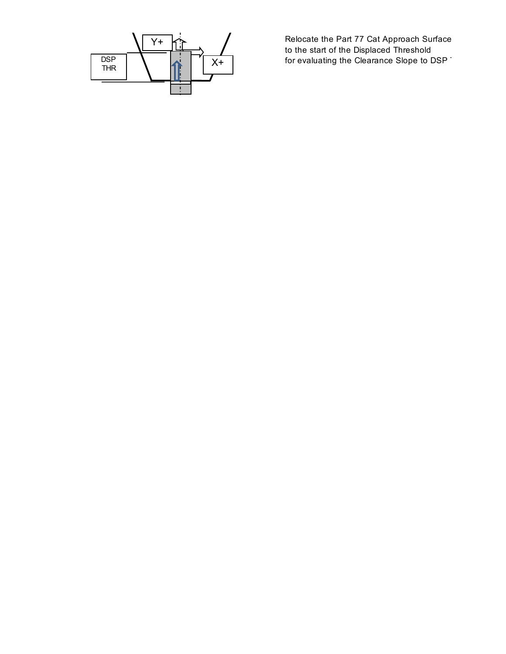

Relocate the Part 77 Cat Approach Surface to the start of the Displaced Threshold  $X+$  for evaluating the Clearance Slope to DSP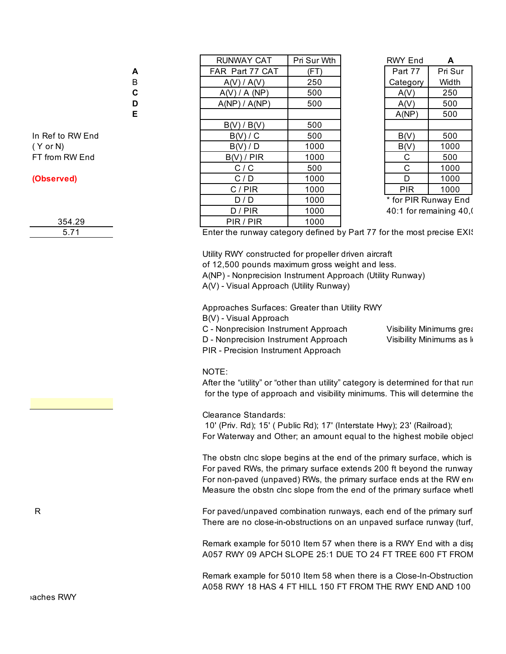|                  |   | <b>RUNWAY CAT</b> | Pri Sur Wth | <b>RWY End</b>       | A       |
|------------------|---|-------------------|-------------|----------------------|---------|
|                  | A | FAR Part 77 CAT   | (FT)        | Part 77              | Pri Sur |
|                  | B | A(V) / A(V)       | 250         | Category             | Width   |
|                  | C | A(V) / A (NP)     | 500         | A(V)                 | 250     |
|                  | D | A(NP) / A(NP)     | 500         | A(V)                 | 500     |
|                  | Е |                   |             | A(NP)                | 500     |
|                  |   | B(V) / B(V)       | 500         |                      |         |
| In Ref to RW End |   | B(V)/C            | 500         | B(V)                 | 500     |
| (Y or N)         |   | B(V)/D            | 1000        | B(V)                 | 1000    |
| FT from RW End   |   | B(V)/PIR          | 1000        | C                    | 500     |
|                  |   | C/C               | 500         | C                    | 1000    |
| (Observed)       |   | C/D               | 1000        | D                    | 1000    |
|                  |   | C/PIR             | 1000        | <b>PIR</b>           | 1000    |
|                  |   | D/D               | 1000        | * for PIR Runway En  |         |
|                  |   | D / PIR           | 1000        | 40:1 for remaining 4 |         |
| 354.29           |   | PIR / PIR         | 1000        |                      |         |

| Pri Sur Wth | <b>RWY End</b>     | A       |
|-------------|--------------------|---------|
| (FT         | Part 77            | Pri Sur |
| 250         | Category           | Width   |
| 500         | A(V)               | 250     |
| 500         | A(V)               | 500     |
|             | A(NP)              | 500     |
| 500         |                    |         |
| 500         | B(V)               | 500     |
| 1000        | B(V)               | 1000    |
| 1000        | С                  | 500     |
| 500         | С                  | 1000    |
| 1000        | D                  | 1000    |
| 1000        | <b>PIR</b>         | 1000    |
| 1000        | . .<br><b>----</b> | -       |

\* for PIR Runway End  $40:1$  for remaining  $40($ 

Enter the runway category defined by Part 77 for the most precise EXIS

Utility RWY constructed for propeller driven aircraft of 12,500 pounds maximum gross weight and less. A(NP) - Nonprecision Instrument Approach (Utility Runway) A(V) - Visual Approach (Utility Runway)

Approaches Surfaces: Greater than Utility RWY B(V) - Visual Approach

C - Nonprecision Instrument Approach Visibility Minimums greation D - Nonprecision Instrument Approach Visibility Minimums as I

PIR - Precision Instrument Approach

NOTE:

After the "utility" or "other than utility" category is determined for that run for the type of approach and visibility minimums. This will determine the

Clearance Standards:

 10' (Priv. Rd); 15' ( Public Rd); 17' (Interstate Hwy); 23' (Railroad); For Waterway and Other; an amount equal to the highest mobile object

The obstn clnc slope begins at the end of the primary surface, which is For paved RWs, the primary surface extends 200 ft beyond the runway For non-paved (unpaved) RWs, the primary surface ends at the RW end Measure the obstn clnc slope from the end of the primary surface whetl

R For paved/unpaved combination runways, each end of the primary surface combination runways, each end of the primary surface There are no close-in-obstructions on an unpaved surface runway (turf,

> Remark example for 5010 Item 57 when there is a RWY End with a displaced threshold. A057 RWY 09 APCH SLOPE 25:1 DUE TO 24 FT TREE 600 FT FROM

> Remark example for 5010 Item 58 when there is a Close-In-Obstruction A058 RWY 18 HAS 4 FT HILL 150 FT FROM THE RWY END AND 100

| 354.29 |  |
|--------|--|
| 5.71   |  |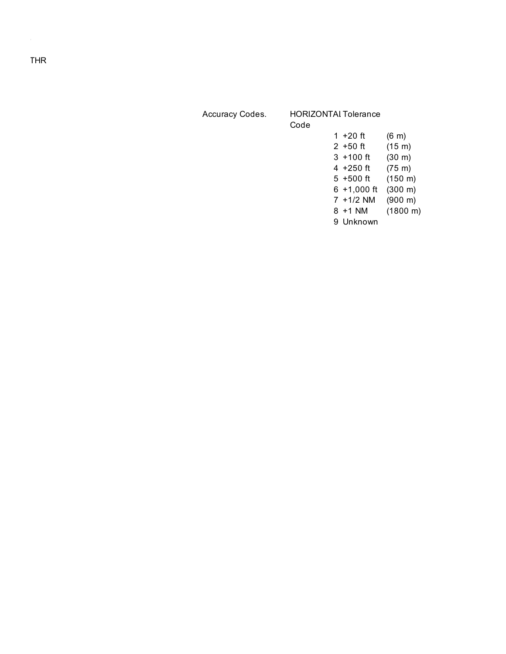| Accuracy Codes. | <b>HORIZONTAI Tolerance</b><br>Code |                |                     |
|-----------------|-------------------------------------|----------------|---------------------|
|                 |                                     | 1 $+20$ ft     | $(6 \; \mathrm{m})$ |
|                 |                                     | $2 + 50$ ft    | $(15 \; \text{m})$  |
|                 |                                     | $3 + 100$ ft   | (30 m)              |
|                 |                                     | 4 +250 ft      | $(75 \; \text{m})$  |
|                 |                                     | $5 + 500$ ft   | $(150 \; \text{m})$ |
|                 |                                     | $6 + 1,000$ ft | (300 m)             |
|                 |                                     | $7 + 1/2$ NM   | (900 m)             |
|                 |                                     | 8 +1 NM        | (1800 m)            |
|                 |                                     | 9 Unknown      |                     |

Relocate the Part 77 Cat Approach Surface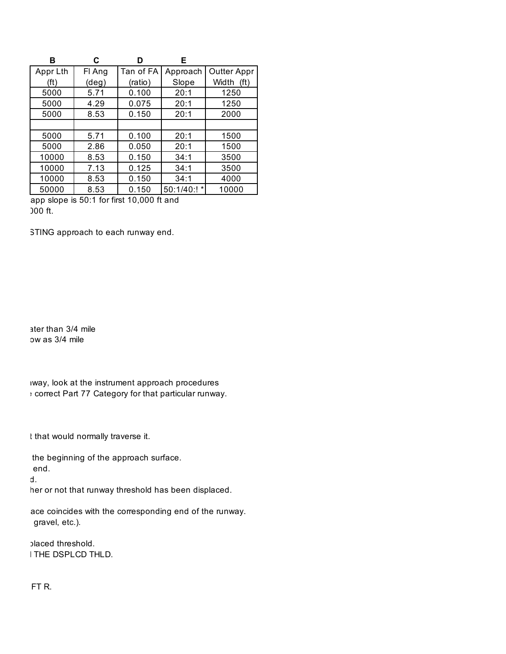| в                 | C              | ח         | Е           |                            |
|-------------------|----------------|-----------|-------------|----------------------------|
| Appr Lth          | FI Ang         | Tan of FA | Approach    | Outter Appr                |
| (f <sup>t</sup> ) | $(\text{deg})$ | (ratio)   | Slope       | Width<br>(f <sup>t</sup> ) |
| 5000              | 5.71           | 0.100     | 20:1        | 1250                       |
| 5000              | 4.29           | 0.075     | 20:1        | 1250                       |
| 5000              | 8.53           | 0.150     | 20:1        | 2000                       |
|                   |                |           |             |                            |
| 5000              | 5.71           | 0.100     | 20:1        | 1500                       |
| 5000              | 2.86           | 0.050     | 20:1        | 1500                       |
| 10000             | 8.53           | 0.150     | 34:1        | 3500                       |
| 10000             | 7.13           | 0.125     | 34:1        | 3500                       |
| 10000             | 8.53           | 0.150     | 34:1        | 4000                       |
| 50000             | 8.53           | 0.150     | 50:1/40:! * | 10000                      |

app slope is  $50:1$  for first 10,000 ft and 000 ft.

STING approach to each runway end.

ater than 3/4 mile ow as 3/4 mile

iway, look at the instrument approach procedures  $,$  correct Part 77 Category for that particular runway.

t that would normally traverse it.

the beginning of the approach surface.  $\epsilon$  pavend.

 $\mathsf{d}$  .

her or not that runway threshold has been displaced.

ace coincides with the corresponding end of the runway. gravel, etc.).

blaced threshold. I THE DSPLCD THLD.

**POSES READ THE READ FT R.**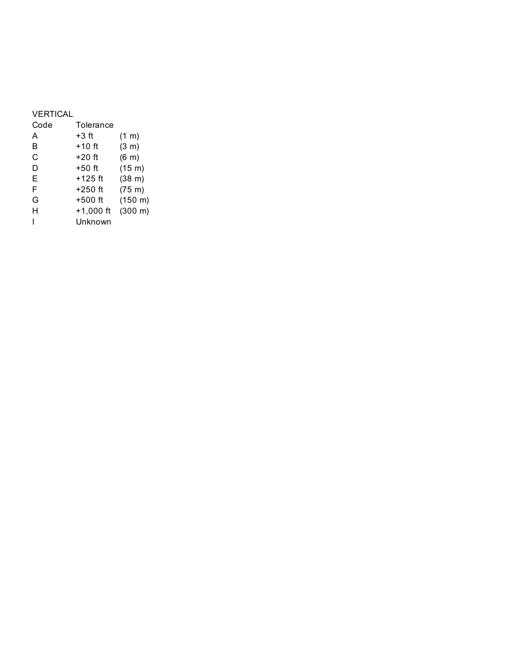### VERTICAL

| Code | Tolerance   |                     |
|------|-------------|---------------------|
| A    | $+3$ ft     | $(1 \text{ m})$     |
| B    | $+10$ ft    | (3 m)               |
| C    | $+20$ ft    | (6 <sub>m</sub> )   |
| D    | $+50$ ft    | (15 m)              |
| E    | $+125$ ft   | (38 m)              |
| F    | $+250$ ft   | $(75 \;{\rm m})$    |
| G    | $+500$ ft   | $(150 \; m)$        |
| н    | $+1,000$ ft | $(300 \; \text{m})$ |
|      | Unknown     |                     |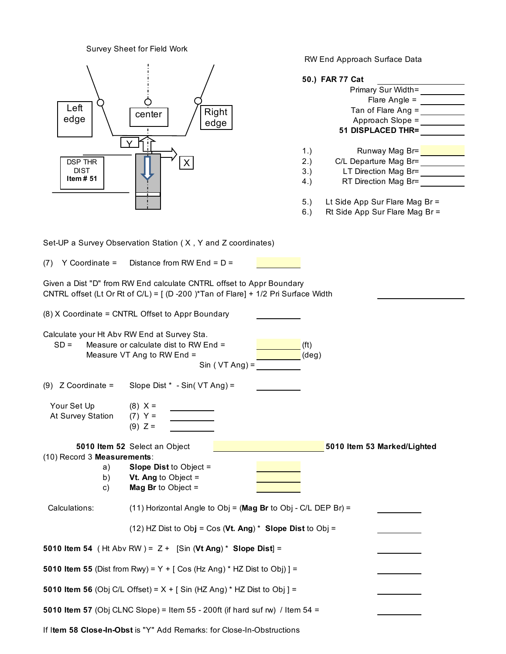Survey Sheet for Field Work RW End Approach Surface Data **50.) FAR 77 Cat**  Primary Sur Width= Flare Angle = Tan of Flare Ang = Approach Slope = **51 DISPLACED THR=** 1.) Runway Mag Br= 2.) C/L Departure Mag Br= 3.) LT Direction Mag Br= 4.) RT Direction Mag Br= 5.) Lt Side App Sur Flare Mag Br = 6.) Rt Side App Sur Flare Mag Br = Set-UP a Survey Observation Station ( X , Y and Z coordinates) (7) Y Coordinate = Distance from RW End =  $D =$ Given a Dist "D" from RW End calculate CNTRL offset to Appr Boundary CNTRL offset (Lt Or Rt of C/L) =  $[$  (D -200 )\*Tan of Flare] + 1/2 Pri Surface Width (8) X Coordinate = CNTRL Offset to Appr Boundary Calculate your Ht Abv RW End at Survey Sta.  $SD =$  Measure or calculate dist to RW End =  $(ft)$ Measure VT Ang to RW End  $=$  (deg)  $Sin (VT Ang) =$ (9)  $Z$  Coordinate = Slope Dist  $*$  - Sin( VT Ang) = Your Set Up  $(8)$  X = At Survey Station  $(7)$  Y =  $(9)$  Z = **5010 Item 52** Select an Object **5010 Item 53 Marked/Lighted** (10) Record 3 **Measurements**: a) **Slope Dist** to Object = b) **Vt. Ang** to Object = c) **Mag Br** to Object = Calculations: (11) Horizontal Angle to Obj = (**Mag Br** to Obj - C/L DEP Br) = (12) HZ Dist to Ob**j** = Cos (**Vt. Ang**) \* **Slope Dist** to Obj = **5010 Item 54** ( Ht Abv RW ) = Z + [Sin (**Vt Ang**) \* **Slope Dist**] = **5010 Item 55** (Dist from Rwy) =  $Y +$  [ Cos (Hz Ang)  $*$  HZ Dist to Obj) ] = **5010 Item 56** (Obj C/L Offset) =  $X +$   $\lceil$  Sin (HZ Ang)  $*$  HZ Dist to Obj  $\rceil$  = **5010 Item 57** (Obj CLNC Slope) = Item 55 - 200ft (if hard suf rw) / Item 54 = DSP THR DIST **Item # 51** X Y  $\left\{\n \begin{array}{ccc}\n \overline{\text{Left}} \\
 \text{edge}\n \end{array}\n \right\}\n \quad \left\{\n \begin{array}{ccc}\n \text{Center}\n \end{array}\n \right.$  $\begin{array}{c|c}\n\text{Leit} \\
\text{edge}\n\end{array}$   $\begin{array}{c|c}\n\text{Center} \\
\text{edge}\n\end{array}$  / Right edge

If I**tem 58 Close-In-Obst** is "Y" Add Remarks: for Close-In-Obstructions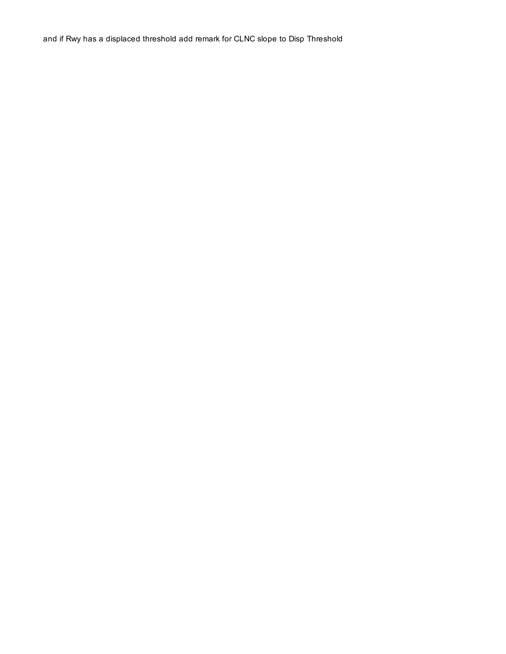and if Rwy has a displaced threshold add remark for CLNC slope to Disp Threshold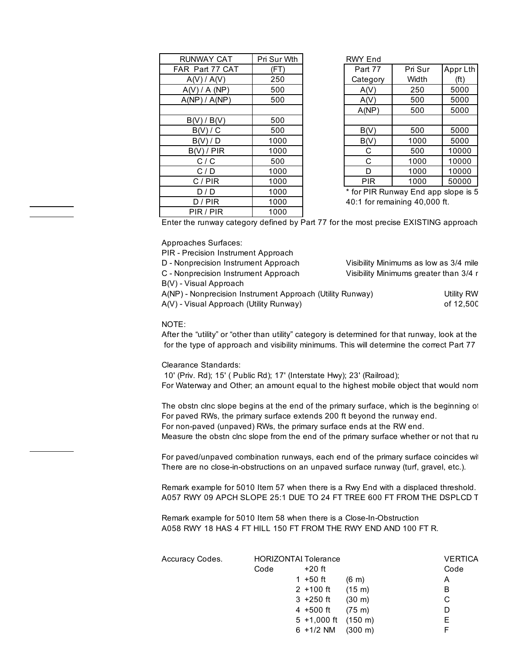| <b>RUNWAY CAT</b> | Pri Sur Wth | <b>RWY End</b> |
|-------------------|-------------|----------------|
| FAR Part 77 CAT   | (FT)        | Part 77        |
| A(V) / A(V)       | 250         | Categor        |
| A(V) / A (NP)     | 500         | A(V)           |
| A(NP) / A(NP)     | 500         | A(V)           |
|                   |             | A(NP)          |
| $B(V)$ / $B(V)$   | 500         |                |
| B(V)/C            | 500         | B(V)           |
| B(V)/D            | 1000        | B(V)           |
| B(V) / PIR        | 1000        | С              |
| C/C               | 500         | С              |
| C/D               | 1000        | D              |
| C/PIR             | 1000        | <b>PIR</b>     |
| D/D               | 1000        | * for PIR I    |
| D / PIR           | 1000        | 40:1 for re    |
| PIR / PIR         | 1000        |                |

| Sur Wth                 | <b>RWY End</b>                |         |          |
|-------------------------|-------------------------------|---------|----------|
| (FT)                    | Part 77                       | Pri Sur | Appr Lth |
| 250                     | Category                      | Width   | (ft)     |
| 500                     | A(V)                          | 250     | 5000     |
| 500                     | A(V)                          | 500     | 5000     |
|                         | A(NP)                         | 500     | 5000     |
| 500                     |                               |         |          |
| 500                     | B(V)                          | 500     | 5000     |
| 1000                    | B(V)                          | 1000    | 5000     |
| 1000                    | С                             | 500     | 10000    |
| 500                     | С                             | 1000    | 10000    |
| 1000                    | D                             | 1000    | 10000    |
| 1000                    | <b>PIR</b>                    | 1000    | 50000    |
| $\lambda$ $\sim$ $\sim$ | . e<br>$\sim$ . $\sim$ $\sim$ | - -     |          |

\* for PIR Runway End app slope is 5 40:1 for remaining 40,000 ft.

Enter the runway category defined by Part 77 for the most precise EXISTING approach

Approaches Surfaces:

| PIR - Precision Instrument Approach                       |                                        |
|-----------------------------------------------------------|----------------------------------------|
| D - Nonprecision Instrument Approach                      | Visibility Minimums as low as 3/4 mile |
| C - Nonprecision Instrument Approach                      | Visibility Minimums greater than 3/4 r |
| B(V) - Visual Approach                                    |                                        |
| A(NP) - Nonprecision Instrument Approach (Utility Runway) | Utility RW                             |
| A(V) - Visual Approach (Utility Runway)                   | of 12.500                              |
|                                                           |                                        |

NOTE:

After the "utility" or "other than utility" category is determined for that runway, look at the for the type of approach and visibility minimums. This will determine the correct Part 77

Clearance Standards:

 10' (Priv. Rd); 15' ( Public Rd); 17' (Interstate Hwy); 23' (Railroad); For Waterway and Other; an amount equal to the highest mobile object that would norm

The obstn clnc slope begins at the end of the primary surface, which is the beginning of For paved RWs, the primary surface extends 200 ft beyond the runway end. For non-paved (unpaved) RWs, the primary surface ends at the RW end. Measure the obstn clnc slope from the end of the primary surface whether or not that ru

For paved/unpaved combination runways, each end of the primary surface coincides with There are no close-in-obstructions on an unpaved surface runway (turf, gravel, etc.).

Remark example for 5010 Item 57 when there is a Rwy End with a displaced threshold. A057 RWY 09 APCH SLOPE 25:1 DUE TO 24 FT TREE 600 FT FROM THE DSPLCD T

Remark example for 5010 Item 58 when there is a Close-In-Obstruction A058 RWY 18 HAS 4 FT HILL 150 FT FROM THE RWY END AND 100 FT R.

| Accuracy Codes. |      | <b>HORIZONTAI Tolerance</b>      |                     | <b>VERTICA</b> |
|-----------------|------|----------------------------------|---------------------|----------------|
|                 | Code | $+20$ ft                         |                     | Code           |
|                 |      | 1 +50 ft                         | $(6 \text{ m})$     | A              |
|                 |      | $2 + 100$ ft                     | $(15 \; \text{m})$  | в              |
|                 |      | $3 + 250$ ft                     | $(30 \; \text{m})$  | С              |
|                 |      | $4 + 500$ ft                     | $(75 \; \text{m})$  | D              |
|                 |      | $5 + 1,000$ ft $(150 \text{ m})$ |                     | Е              |
|                 |      | $6 + 1/2$ NM                     | $(300 \; \text{m})$ |                |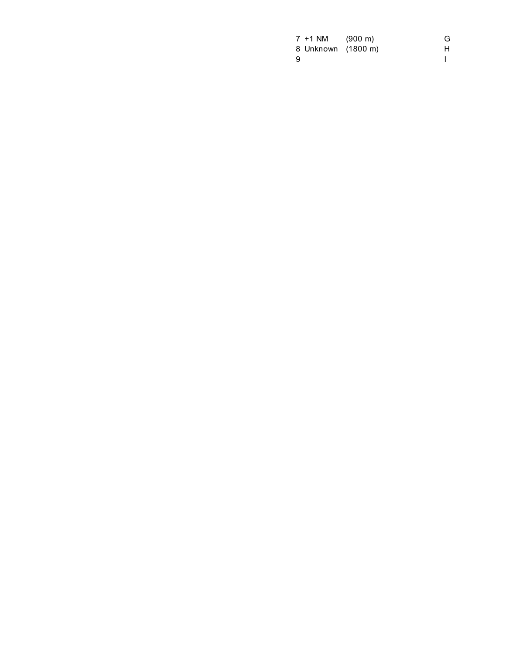|    | $7 + 1$ NM         | $(900 \; \text{m})$ | G |
|----|--------------------|---------------------|---|
|    | 8 Unknown (1800 m) |                     | Н |
| -9 |                    |                     |   |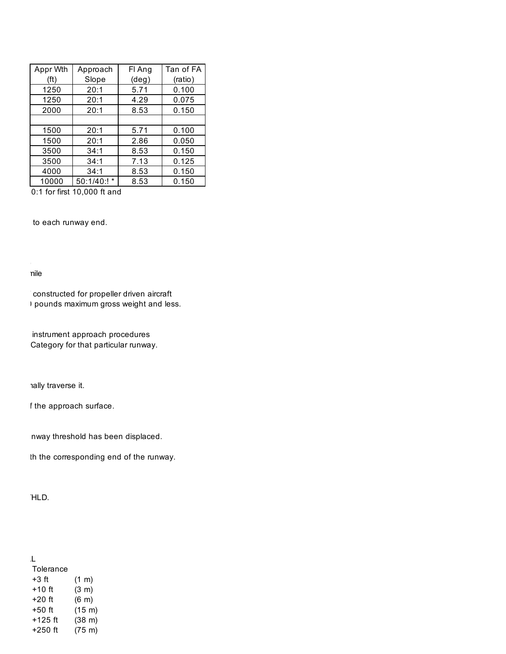| Appr Wth | Approach       | FI Ang         | Tan of FA |
|----------|----------------|----------------|-----------|
| (ft)     | Slope          | $(\text{deg})$ | (ratio)   |
| 1250     | 20:1           | 5.71           | 0.100     |
| 1250     | 20:1           | 4.29           | 0.075     |
| 2000     | 20:1           | 8.53           | 0.150     |
|          |                |                |           |
| 1500     | 20:1           | 5.71           | 0.100     |
| 1500     | 20:1           | 2.86           | 0.050     |
| 3500     | 34:1           | 8.53           | 0.150     |
| 3500     | 34:1           | 7.13           | 0.125     |
| 4000     | 34:1           | 8.53           | 0.150     |
| 10000    | 50:1/40:!<br>* | 8.53           | 0.150     |

 $\overline{0.1}$  for first 10,000 ft and

to each runway end.

 $\lambda$ visibility Minimums as 3/4  $\mu$ Visibility Minimums greater than 3/4 mile

> ' constructed for propeller driven aircraft ) pounds maximum gross weight and less.

instrument approach procedures Category for that particular runway.

hally traverse it.

f the approach surface.

nway threshold has been displaced.

th the corresponding end of the runway.

and **HLD**.

| J.        |                   |
|-----------|-------------------|
| Tolerance |                   |
| $+3$ ft   | $(1 \; \text{m})$ |
| $+10$ ft  | (3 m)             |
| $+20$ ft  | (6 <sub>m</sub> ) |
| $+50$ ft  | (15 m)            |
| $+125$ ft | (38 m)            |
| $+250$ ft | $(75 \;{\rm m})$  |
|           |                   |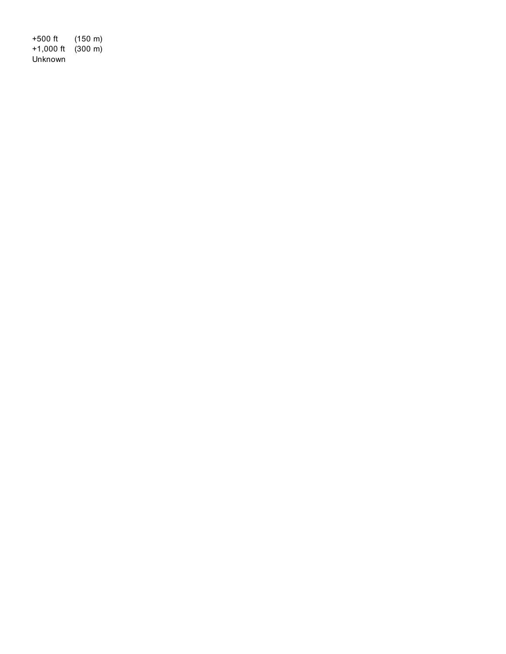+500 ft (150 m) +1,000 ft (300 m) Unknown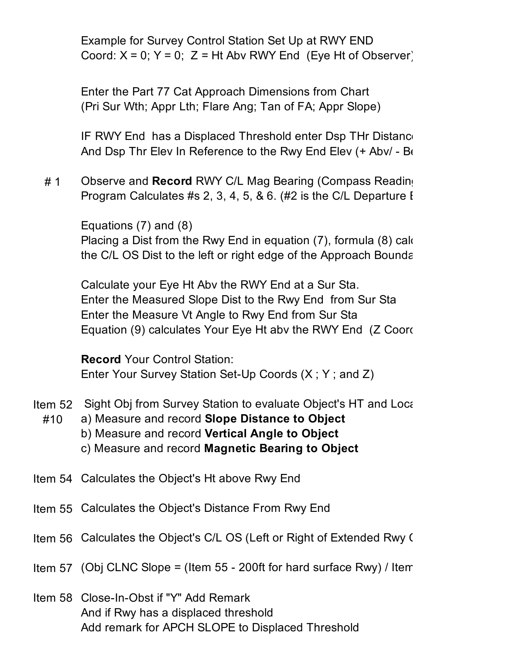Example for Survey Control Station Set Up at RWY END Coord:  $X = 0$ ;  $Y = 0$ ;  $Z = Ht$  Abv RWY End (Eye Ht of Observer)

Enter the Part 77 Cat Approach Dimensions from Chart (Pri Sur Wth; Appr Lth; Flare Ang; Tan of FA; Appr Slope)

IF RWY End has a Displaced Threshold enter Dsp THr Distance And Dsp Thr Elev In Reference to the Rwy End Elev  $(+$  Abv/ - Be

# 1 Observe and **Record** RWY C/L Mag Bearing (Compass Reading) Program Calculates #s 2, 3, 4, 5, & 6. (#2 is the C/L Departure  $I$ 

Equations (7) and (8) Placing a Dist from the Rwy End in equation  $(7)$ , formula  $(8)$  cald the C/L OS Dist to the left or right edge of the Approach Boundary

Calculate your Eye Ht Abv the RWY End at a Sur Sta. Enter the Measured Slope Dist to the Rwy End from Sur Sta Enter the Measure Vt Angle to Rwy End from Sur Sta Equation (9) calculates Your Eye Ht abv the RWY End (Z Coord

**Record** Your Control Station: Enter Your Survey Station Set-Up Coords (X ; Y ; and Z)

- Item 52 Sight Obj from Survey Station to evaluate Object's HT and Location
	- #10 a) Measure and record **Slope Distance to Object** 
		- b) Measure and record **Vertical Angle to Object**
		- c) Measure and record **Magnetic Bearing to Object**
- Item 54 Calculates the Object's Ht above Rwy End
- Item 55 Calculates the Object's Distance From Rwy End
- Item 56 Calculates the Object's C/L OS (Left or Right of Extended Rwy C)
- Item 57 (Obj CLNC Slope = (Item 55 200ft for hard surface Rwy) / Item
- Item 58 Close-In-Obst if "Y" Add Remark And if Rwy has a displaced threshold Add remark for APCH SLOPE to Displaced Threshold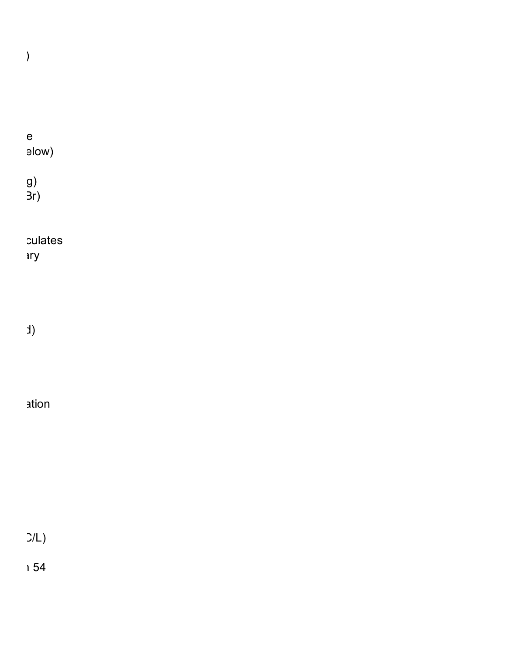$\overline{\phantom{a}}$ 

|  |  | $\mathsf e$<br>elow)  |
|--|--|-----------------------|
|  |  | g)<br>3r)             |
|  |  | culates<br><b>ary</b> |
|  |  |                       |

 $\left( \begin{array}{c} \epsilon \end{array} \right)$ 

# ation to the Suri

 $C/L$ 

 $\overline{\phantom{0}}$  54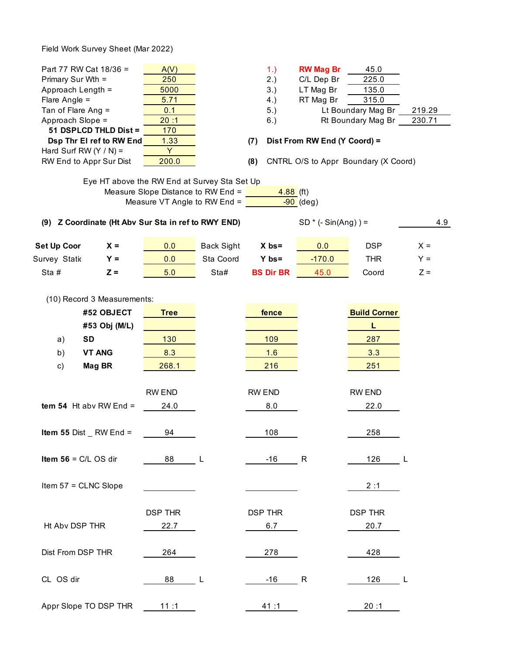Field Work Survey Sheet (Mar 2022)

| Part 77 RW Cat 18/36 =<br>Primary Sur Wth =<br>Approach Length =<br>Flare Angle $=$<br>Tan of Flare Ang =<br>Approach Slope =<br>51 DSPLCD THLD Dist =<br>Dsp Thr El ref to RW End<br>Hard Surf RW $(Y / N) =$<br>RW End to Appr Sur Dist<br>(9) Z Coordinate (Ht Abv Sur Sta in ref to RWY END) | A(V)<br>250<br>5000<br>5.71<br>0.1<br>20:1<br>170<br>1.33<br>Y<br>200.0<br>Eye HT above the RW End at Survey Sta Set Up<br>Measure Slope Distance to RW End =<br>Measure VT Angle to RW End = |                   | 1.)<br>2.)<br>3.)<br>4.)<br>5.)<br>6.)<br>(7)<br>(8)<br>$4.88$ (ft) | <b>RW Mag Br</b><br>C/L Dep Br<br>LT Mag Br<br>RT Mag Br<br>Dist From RW End (Y Coord) =<br>$-90$ (deg)<br>$SD * (-Sin(Ang)) =$ | 45.0<br>225.0<br>135.0<br>315.0<br>Lt Boundary Mag Br<br>Rt Boundary Mag Br<br>CNTRL O/S to Appr Boundary (X Coord) | 219.29<br>230.71<br>4.9 |
|--------------------------------------------------------------------------------------------------------------------------------------------------------------------------------------------------------------------------------------------------------------------------------------------------|-----------------------------------------------------------------------------------------------------------------------------------------------------------------------------------------------|-------------------|---------------------------------------------------------------------|---------------------------------------------------------------------------------------------------------------------------------|---------------------------------------------------------------------------------------------------------------------|-------------------------|
| <b>Set Up Coor</b><br>$X =$                                                                                                                                                                                                                                                                      | 0.0                                                                                                                                                                                           | <b>Back Sight</b> | $X$ bs=                                                             | 0.0                                                                                                                             | <b>DSP</b>                                                                                                          | $X =$                   |
| Survey Statio<br>$Y =$                                                                                                                                                                                                                                                                           | 0.0                                                                                                                                                                                           | Sta Coord         | $Y$ bs=                                                             | $-170.0$                                                                                                                        | <b>THR</b>                                                                                                          | $Y =$                   |
| Sta#<br>$Z =$                                                                                                                                                                                                                                                                                    | 5.0                                                                                                                                                                                           | Sta#              | <b>BS Dir BR</b>                                                    | 45.0                                                                                                                            | Coord                                                                                                               | $Z =$                   |
| (10) Record 3 Measurements:<br>#52 OBJECT<br>#53 Obj (M/L)<br><b>SD</b><br>a)<br>b)<br><b>VT ANG</b><br>Mag BR<br>c)<br>tem 54 Ht abv RW End $=$<br>Item 55 Dist_<br>$RW$ End $=$                                                                                                                | <b>Tree</b><br>130<br>8.3<br>268.1<br>RW END<br>24.0<br>94                                                                                                                                    |                   | fence<br>109<br>1.6<br>216<br><b>RW END</b><br>8.0<br>108           |                                                                                                                                 | <b>Build Corner</b><br>L<br>287<br>3.3<br>251<br>RW END<br>22.0<br>258                                              |                         |
| Item $56 = C/L OS$ dir<br>Item 57 = CLNC Slope                                                                                                                                                                                                                                                   | 88<br><b>DSP THR</b>                                                                                                                                                                          | $\mathsf{L}$      | $-16$<br><b>DSP THR</b>                                             | R                                                                                                                               | 126<br>2:1<br><b>DSP THR</b>                                                                                        | L                       |
| Ht Abv DSP THR<br>Dist From DSP THR                                                                                                                                                                                                                                                              | 22.7<br>264                                                                                                                                                                                   |                   | 6.7<br>278                                                          |                                                                                                                                 | 20.7<br>428                                                                                                         |                         |
| CL OS dir                                                                                                                                                                                                                                                                                        | 88                                                                                                                                                                                            | L,                | $-16$                                                               | $\mathsf R$                                                                                                                     | 126                                                                                                                 | L                       |
| Appr Slope TO DSP THR                                                                                                                                                                                                                                                                            | 11:1                                                                                                                                                                                          |                   | 41:1                                                                |                                                                                                                                 | 20:1                                                                                                                |                         |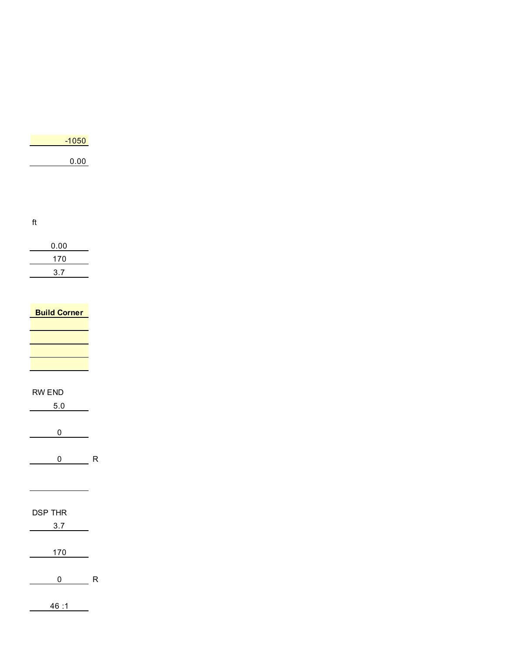| $-1050$ |
|---------|
| 0.00    |
|         |

ft

| 0.00 |
|------|
| 170  |
| 3.7  |

L,

 $\overline{\phantom{0}}$ 

| <b>Build Corner</b> |
|---------------------|
|                     |
|                     |
|                     |
|                     |
|                     |

#### RW END

| 5.0    |  |
|--------|--|
|        |  |
| 0      |  |
|        |  |
| R<br>N |  |

## DSP THR

| 3.7 |  |
|-----|--|
|     |  |
|     |  |
| 170 |  |
|     |  |

 $0$  R

46 :1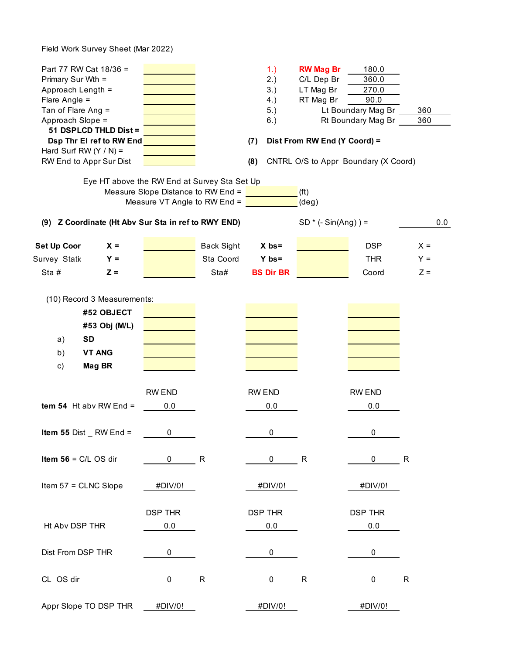Field Work Survey Sheet (Mar 2022)

| Part 77 RW Cat 18/36 =<br>Primary Sur Wth =<br>Approach Length =<br>Flare Angle $=$<br>Tan of Flare Ang =<br>Approach Slope =<br>51 DSPLCD THLD Dist =<br>Dsp Thr El ref to RW End<br>Hard Surf RW $(Y / N) =$<br>RW End to Appr Sur Dist |                                                                                                                    |                   | 1.)<br>2.)<br>3.)<br>4.)<br>5.)<br>6.)<br>(7)<br>(8) | <b>RW Mag Br</b><br>C/L Dep Br<br>LT Mag Br<br>RT Mag Br<br>Dist From RW End (Y Coord) =<br>CNTRL O/S to Appr Boundary (X Coord) | 180.0<br>360.0<br>270.0<br>90.0<br>Lt Boundary Mag Br<br>Rt Boundary Mag Br | 360<br>360  |     |
|-------------------------------------------------------------------------------------------------------------------------------------------------------------------------------------------------------------------------------------------|--------------------------------------------------------------------------------------------------------------------|-------------------|------------------------------------------------------|----------------------------------------------------------------------------------------------------------------------------------|-----------------------------------------------------------------------------|-------------|-----|
|                                                                                                                                                                                                                                           | Eye HT above the RW End at Survey Sta Set Up<br>Measure Slope Distance to RW End =<br>Measure VT Angle to RW End = |                   |                                                      | (f <sup>t</sup> )<br>$(\text{deg})$                                                                                              |                                                                             |             |     |
|                                                                                                                                                                                                                                           | (9) Z Coordinate (Ht Abv Sur Sta in ref to RWY END)                                                                |                   |                                                      | $SD * (-Sin(Ang)) =$                                                                                                             |                                                                             |             | 0.0 |
| Set Up Coor                                                                                                                                                                                                                               | $x =$                                                                                                              | <b>Back Sight</b> | $X$ bs=                                              |                                                                                                                                  | <b>DSP</b>                                                                  | $X =$       |     |
| Survey Statio                                                                                                                                                                                                                             | $Y =$                                                                                                              | Sta Coord         | $Y$ bs=                                              |                                                                                                                                  | <b>THR</b>                                                                  | $Y =$       |     |
| Sta#                                                                                                                                                                                                                                      | $Z =$                                                                                                              | Sta#              | <b>BS Dir BR</b>                                     |                                                                                                                                  | Coord                                                                       | $Z =$       |     |
| #52 OBJECT<br>#53 Obj (M/L)<br><b>SD</b><br>a)<br>b)<br><b>VT ANG</b><br>Mag BR<br>c)                                                                                                                                                     | <b>RW END</b>                                                                                                      |                   | RW END                                               |                                                                                                                                  | RW END                                                                      |             |     |
| tem 54 Ht abv RW End $=$                                                                                                                                                                                                                  | 0.0                                                                                                                |                   | 0.0                                                  |                                                                                                                                  | 0.0                                                                         |             |     |
| Item 55 Dist $\_$<br>Item $56 = C/L OS$ dir                                                                                                                                                                                               | $RW$ End $=$<br>0<br>0                                                                                             | R                 | 0<br>0                                               | R                                                                                                                                | 0<br>0                                                                      | R           |     |
| Item 57 = CLNC Slope                                                                                                                                                                                                                      | #DIV/0!                                                                                                            |                   | #DIV/0!                                              |                                                                                                                                  | #DIV/0!                                                                     |             |     |
| Ht Abv DSP THR<br>Dist From DSP THR                                                                                                                                                                                                       | <b>DSP THR</b><br>0.0<br>0                                                                                         |                   | <b>DSP THR</b><br>0.0<br>$\pmb{0}$                   |                                                                                                                                  | <b>DSP THR</b><br>0.0<br>$\pmb{0}$                                          |             |     |
|                                                                                                                                                                                                                                           |                                                                                                                    |                   |                                                      |                                                                                                                                  |                                                                             |             |     |
| CL OS dir                                                                                                                                                                                                                                 | 0                                                                                                                  | R                 | 0                                                    | R                                                                                                                                | 0                                                                           | $\mathsf R$ |     |
| Appr Slope TO DSP THR                                                                                                                                                                                                                     | #DIV/0!                                                                                                            |                   | #DIV/0!                                              |                                                                                                                                  | #DIV/0!                                                                     |             |     |